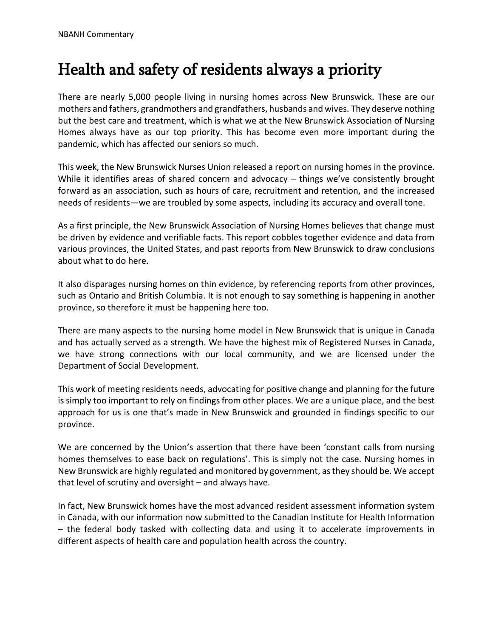## Health and safety of residents always a priority

There are nearly 5,000 people living in nursing homes across New Brunswick. These are our mothers and fathers, grandmothers and grandfathers, husbands and wives. They deserve nothing but the best care and treatment, which is what we at the New Brunswick Association of Nursing Homes always have as our top priority. This has become even more important during the pandemic, which has affected our seniors so much.

This week, the New Brunswick Nurses Union released a report on nursing homes in the province. While it identifies areas of shared concern and advocacy – things we've consistently brought forward as an association, such as hours of care, recruitment and retention, and the increased needs of residents—we are troubled by some aspects, including its accuracy and overall tone.

As a first principle, the New Brunswick Association of Nursing Homes believes that change must be driven by evidence and verifiable facts. This report cobbles together evidence and data from various provinces, the United States, and past reports from New Brunswick to draw conclusions about what to do here.

It also disparages nursing homes on thin evidence, by referencing reports from other provinces, such as Ontario and British Columbia. It is not enough to say something is happening in another province, so therefore it must be happening here too.

There are many aspects to the nursing home model in New Brunswick that is unique in Canada and has actually served as a strength. We have the highest mix of Registered Nurses in Canada, we have strong connections with our local community, and we are licensed under the Department of Social Development.

This work of meeting residents needs, advocating for positive change and planning for the future is simply too important to rely on findings from other places. We are a unique place, and the best approach for us is one that's made in New Brunswick and grounded in findings specific to our province.

We are concerned by the Union's assertion that there have been 'constant calls from nursing homes themselves to ease back on regulations'. This is simply not the case. Nursing homes in New Brunswick are highly regulated and monitored by government, as they should be. We accept that level of scrutiny and oversight – and always have.

In fact, New Brunswick homes have the most advanced resident assessment information system in Canada, with our information now submitted to the Canadian Institute for Health Information – the federal body tasked with collecting data and using it to accelerate improvements in different aspects of health care and population health across the country.